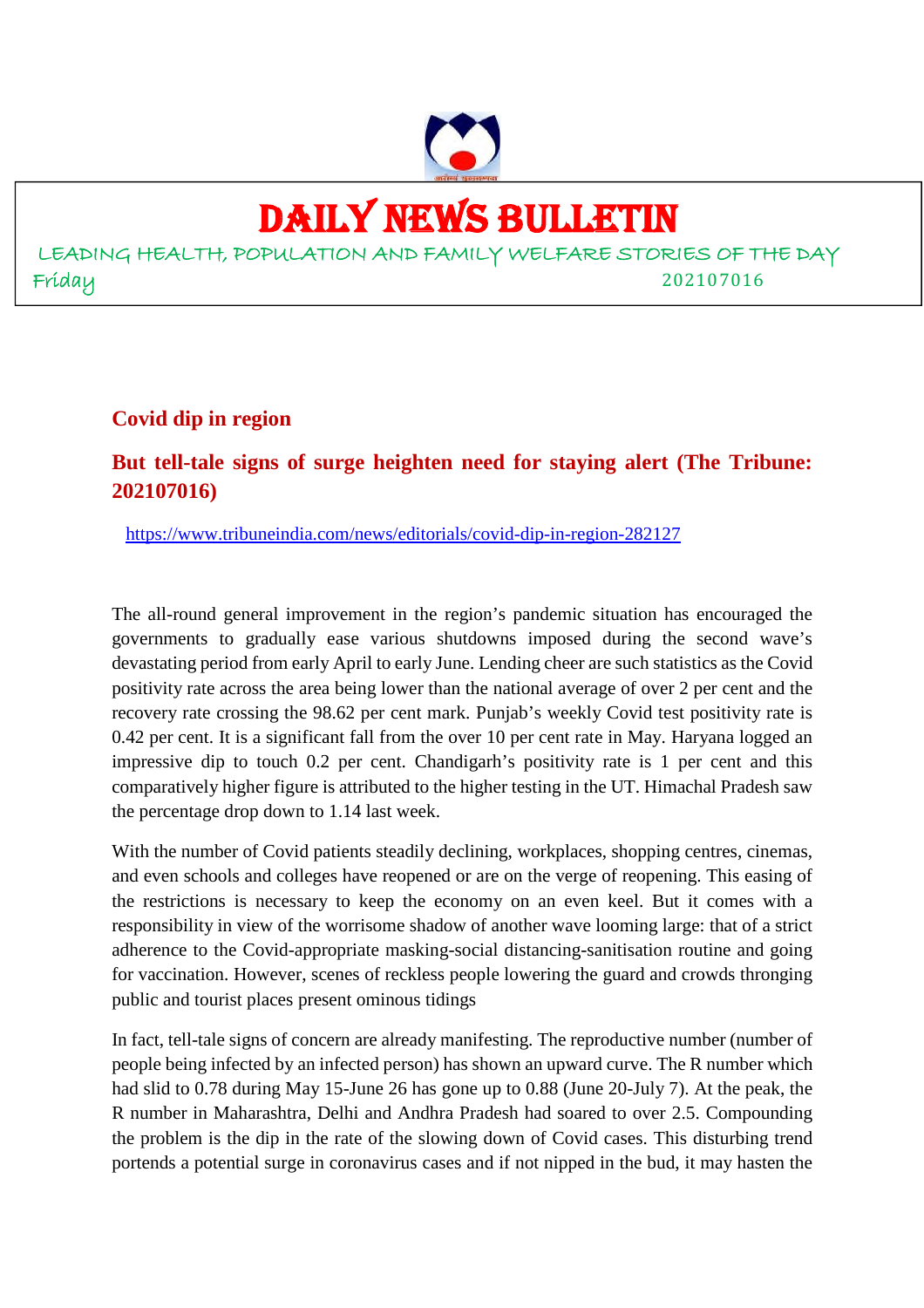

# DAILY NEWS BULLETIN

LEADING HEALTH, POPULATION AND FAMILY WELFARE STORIES OF THE DAY Friday 202107016

#### **Covid dip in region**

## **But tell-tale signs of surge heighten need for staying alert (The Tribune: 202107016)**

https://www.tribuneindia.com/news/editorials/covid-dip-in-region-282127

The all-round general improvement in the region's pandemic situation has encouraged the governments to gradually ease various shutdowns imposed during the second wave's devastating period from early April to early June. Lending cheer are such statistics as the Covid positivity rate across the area being lower than the national average of over 2 per cent and the recovery rate crossing the 98.62 per cent mark. Punjab's weekly Covid test positivity rate is 0.42 per cent. It is a significant fall from the over 10 per cent rate in May. Haryana logged an impressive dip to touch 0.2 per cent. Chandigarh's positivity rate is 1 per cent and this comparatively higher figure is attributed to the higher testing in the UT. Himachal Pradesh saw the percentage drop down to 1.14 last week.

With the number of Covid patients steadily declining, workplaces, shopping centres, cinemas, and even schools and colleges have reopened or are on the verge of reopening. This easing of the restrictions is necessary to keep the economy on an even keel. But it comes with a responsibility in view of the worrisome shadow of another wave looming large: that of a strict adherence to the Covid-appropriate masking-social distancing-sanitisation routine and going for vaccination. However, scenes of reckless people lowering the guard and crowds thronging public and tourist places present ominous tidings

In fact, tell-tale signs of concern are already manifesting. The reproductive number (number of people being infected by an infected person) has shown an upward curve. The R number which had slid to 0.78 during May 15-June 26 has gone up to 0.88 (June 20-July 7). At the peak, the R number in Maharashtra, Delhi and Andhra Pradesh had soared to over 2.5. Compounding the problem is the dip in the rate of the slowing down of Covid cases. This disturbing trend portends a potential surge in coronavirus cases and if not nipped in the bud, it may hasten the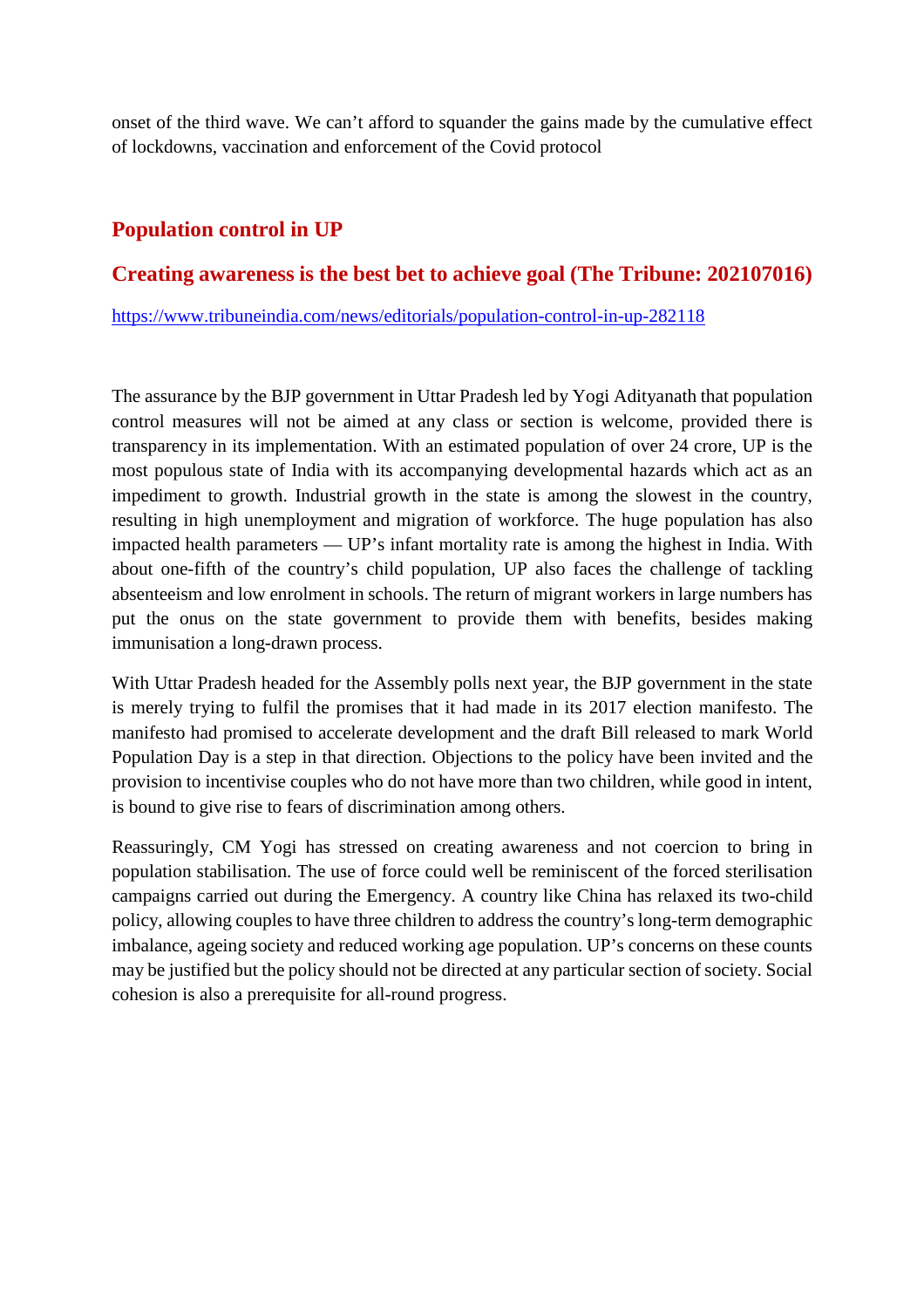onset of the third wave. We can't afford to squander the gains made by the cumulative effect of lockdowns, vaccination and enforcement of the Covid protocol

#### **Population control in UP**

#### **Creating awareness is the best bet to achieve goal (The Tribune: 202107016)**

https://www.tribuneindia.com/news/editorials/population-control-in-up-282118

The assurance by the BJP government in Uttar Pradesh led by Yogi Adityanath that population control measures will not be aimed at any class or section is welcome, provided there is transparency in its implementation. With an estimated population of over 24 crore, UP is the most populous state of India with its accompanying developmental hazards which act as an impediment to growth. Industrial growth in the state is among the slowest in the country, resulting in high unemployment and migration of workforce. The huge population has also impacted health parameters — UP's infant mortality rate is among the highest in India. With about one-fifth of the country's child population, UP also faces the challenge of tackling absenteeism and low enrolment in schools. The return of migrant workers in large numbers has put the onus on the state government to provide them with benefits, besides making immunisation a long-drawn process.

With Uttar Pradesh headed for the Assembly polls next year, the BJP government in the state is merely trying to fulfil the promises that it had made in its 2017 election manifesto. The manifesto had promised to accelerate development and the draft Bill released to mark World Population Day is a step in that direction. Objections to the policy have been invited and the provision to incentivise couples who do not have more than two children, while good in intent, is bound to give rise to fears of discrimination among others.

Reassuringly, CM Yogi has stressed on creating awareness and not coercion to bring in population stabilisation. The use of force could well be reminiscent of the forced sterilisation campaigns carried out during the Emergency. A country like China has relaxed its two-child policy, allowing couples to have three children to address the country's long-term demographic imbalance, ageing society and reduced working age population. UP's concerns on these counts may be justified but the policy should not be directed at any particular section of society. Social cohesion is also a prerequisite for all-round progress.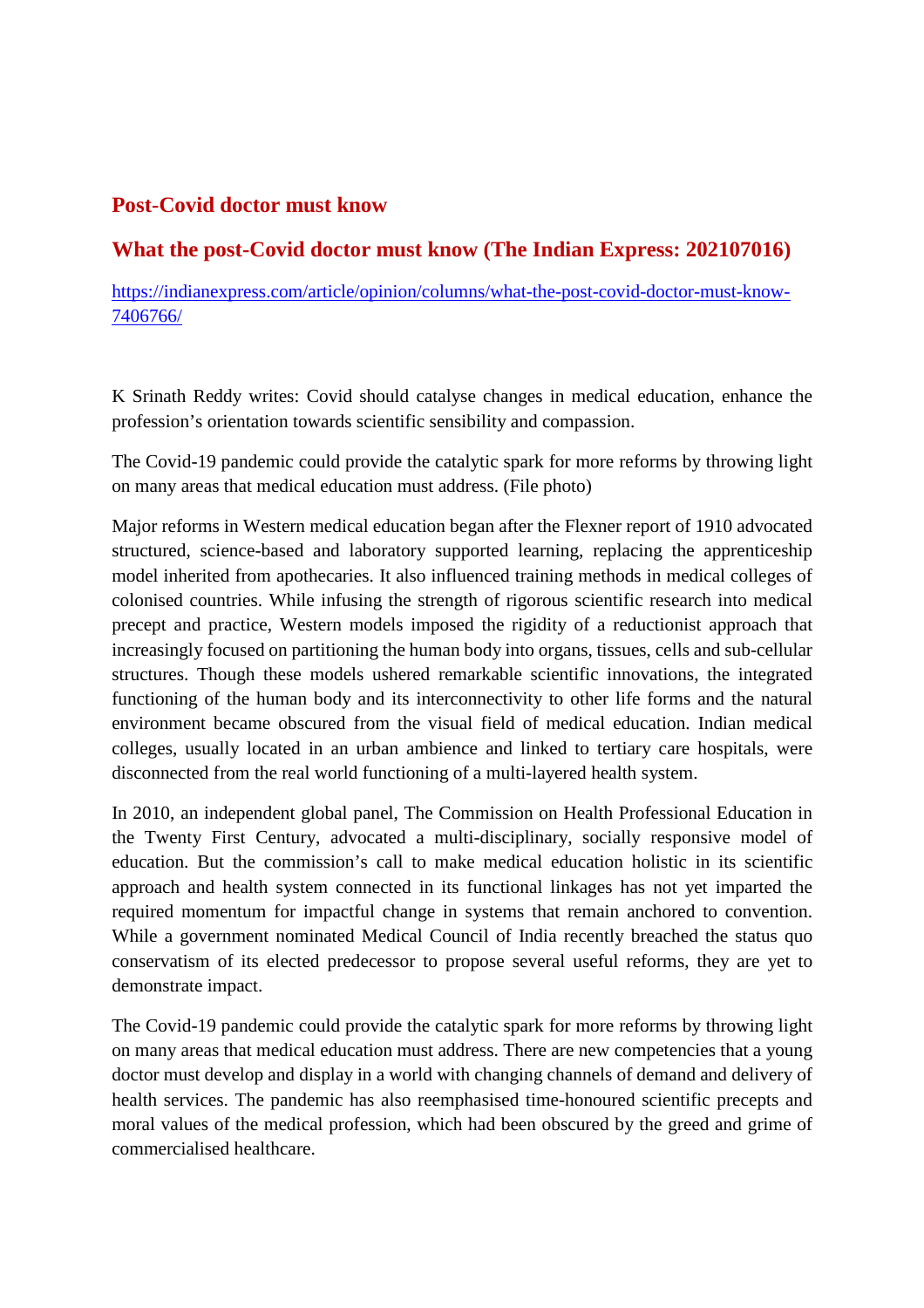#### **Post-Covid doctor must know**

#### **What the post-Covid doctor must know (The Indian Express: 202107016)**

https://indianexpress.com/article/opinion/columns/what-the-post-covid-doctor-must-know-7406766/

K Srinath Reddy writes: Covid should catalyse changes in medical education, enhance the profession's orientation towards scientific sensibility and compassion.

The Covid-19 pandemic could provide the catalytic spark for more reforms by throwing light on many areas that medical education must address. (File photo)

Major reforms in Western medical education began after the Flexner report of 1910 advocated structured, science-based and laboratory supported learning, replacing the apprenticeship model inherited from apothecaries. It also influenced training methods in medical colleges of colonised countries. While infusing the strength of rigorous scientific research into medical precept and practice, Western models imposed the rigidity of a reductionist approach that increasingly focused on partitioning the human body into organs, tissues, cells and sub-cellular structures. Though these models ushered remarkable scientific innovations, the integrated functioning of the human body and its interconnectivity to other life forms and the natural environment became obscured from the visual field of medical education. Indian medical colleges, usually located in an urban ambience and linked to tertiary care hospitals, were disconnected from the real world functioning of a multi-layered health system.

In 2010, an independent global panel, The Commission on Health Professional Education in the Twenty First Century, advocated a multi-disciplinary, socially responsive model of education. But the commission's call to make medical education holistic in its scientific approach and health system connected in its functional linkages has not yet imparted the required momentum for impactful change in systems that remain anchored to convention. While a government nominated Medical Council of India recently breached the status quo conservatism of its elected predecessor to propose several useful reforms, they are yet to demonstrate impact.

The Covid-19 pandemic could provide the catalytic spark for more reforms by throwing light on many areas that medical education must address. There are new competencies that a young doctor must develop and display in a world with changing channels of demand and delivery of health services. The pandemic has also reemphasised time-honoured scientific precepts and moral values of the medical profession, which had been obscured by the greed and grime of commercialised healthcare.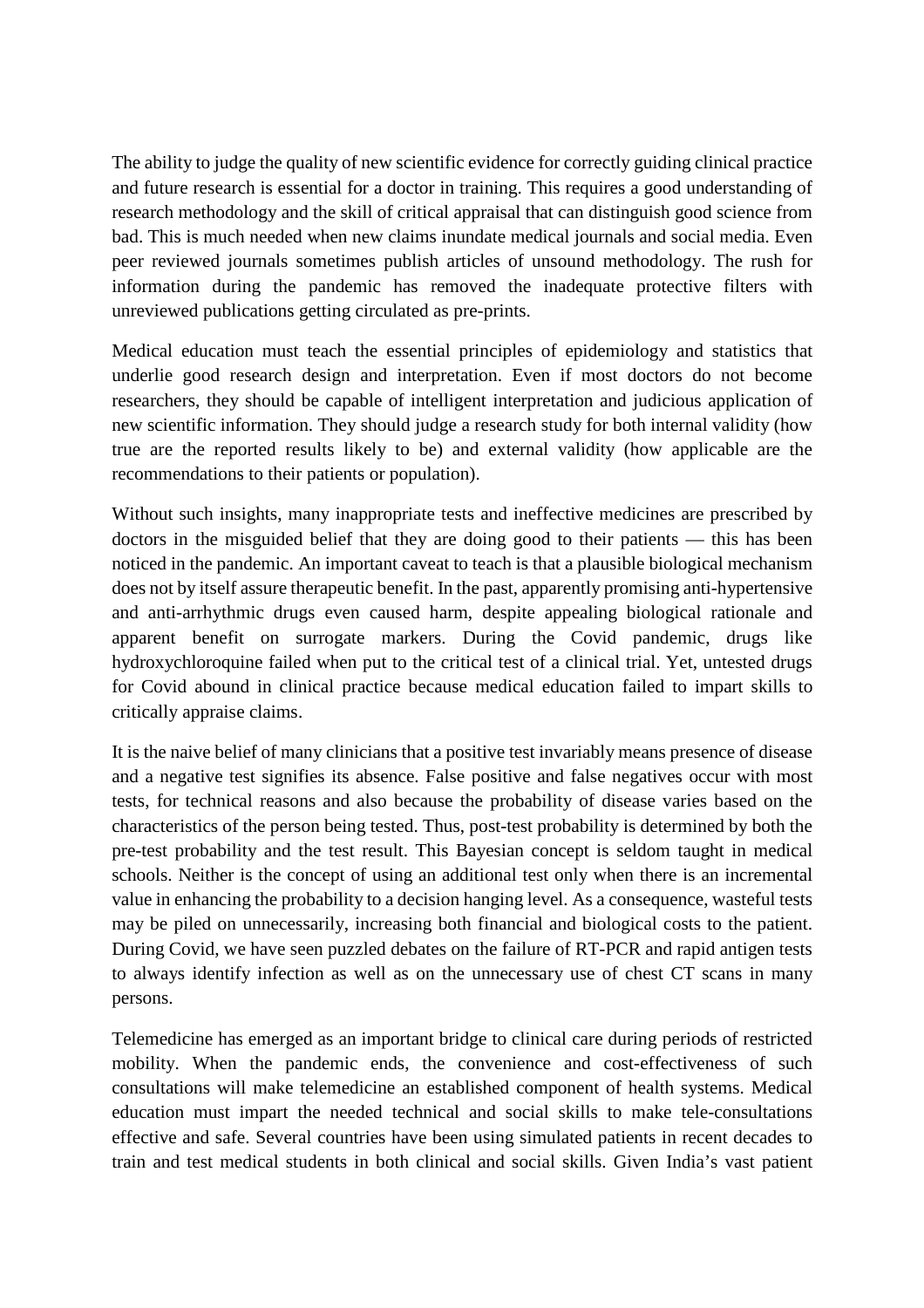The ability to judge the quality of new scientific evidence for correctly guiding clinical practice and future research is essential for a doctor in training. This requires a good understanding of research methodology and the skill of critical appraisal that can distinguish good science from bad. This is much needed when new claims inundate medical journals and social media. Even peer reviewed journals sometimes publish articles of unsound methodology. The rush for information during the pandemic has removed the inadequate protective filters with unreviewed publications getting circulated as pre-prints.

Medical education must teach the essential principles of epidemiology and statistics that underlie good research design and interpretation. Even if most doctors do not become researchers, they should be capable of intelligent interpretation and judicious application of new scientific information. They should judge a research study for both internal validity (how true are the reported results likely to be) and external validity (how applicable are the recommendations to their patients or population).

Without such insights, many inappropriate tests and ineffective medicines are prescribed by doctors in the misguided belief that they are doing good to their patients — this has been noticed in the pandemic. An important caveat to teach is that a plausible biological mechanism does not by itself assure therapeutic benefit. In the past, apparently promising anti-hypertensive and anti-arrhythmic drugs even caused harm, despite appealing biological rationale and apparent benefit on surrogate markers. During the Covid pandemic, drugs like hydroxychloroquine failed when put to the critical test of a clinical trial. Yet, untested drugs for Covid abound in clinical practice because medical education failed to impart skills to critically appraise claims.

It is the naive belief of many clinicians that a positive test invariably means presence of disease and a negative test signifies its absence. False positive and false negatives occur with most tests, for technical reasons and also because the probability of disease varies based on the characteristics of the person being tested. Thus, post-test probability is determined by both the pre-test probability and the test result. This Bayesian concept is seldom taught in medical schools. Neither is the concept of using an additional test only when there is an incremental value in enhancing the probability to a decision hanging level. As a consequence, wasteful tests may be piled on unnecessarily, increasing both financial and biological costs to the patient. During Covid, we have seen puzzled debates on the failure of RT-PCR and rapid antigen tests to always identify infection as well as on the unnecessary use of chest CT scans in many persons.

Telemedicine has emerged as an important bridge to clinical care during periods of restricted mobility. When the pandemic ends, the convenience and cost-effectiveness of such consultations will make telemedicine an established component of health systems. Medical education must impart the needed technical and social skills to make tele-consultations effective and safe. Several countries have been using simulated patients in recent decades to train and test medical students in both clinical and social skills. Given India's vast patient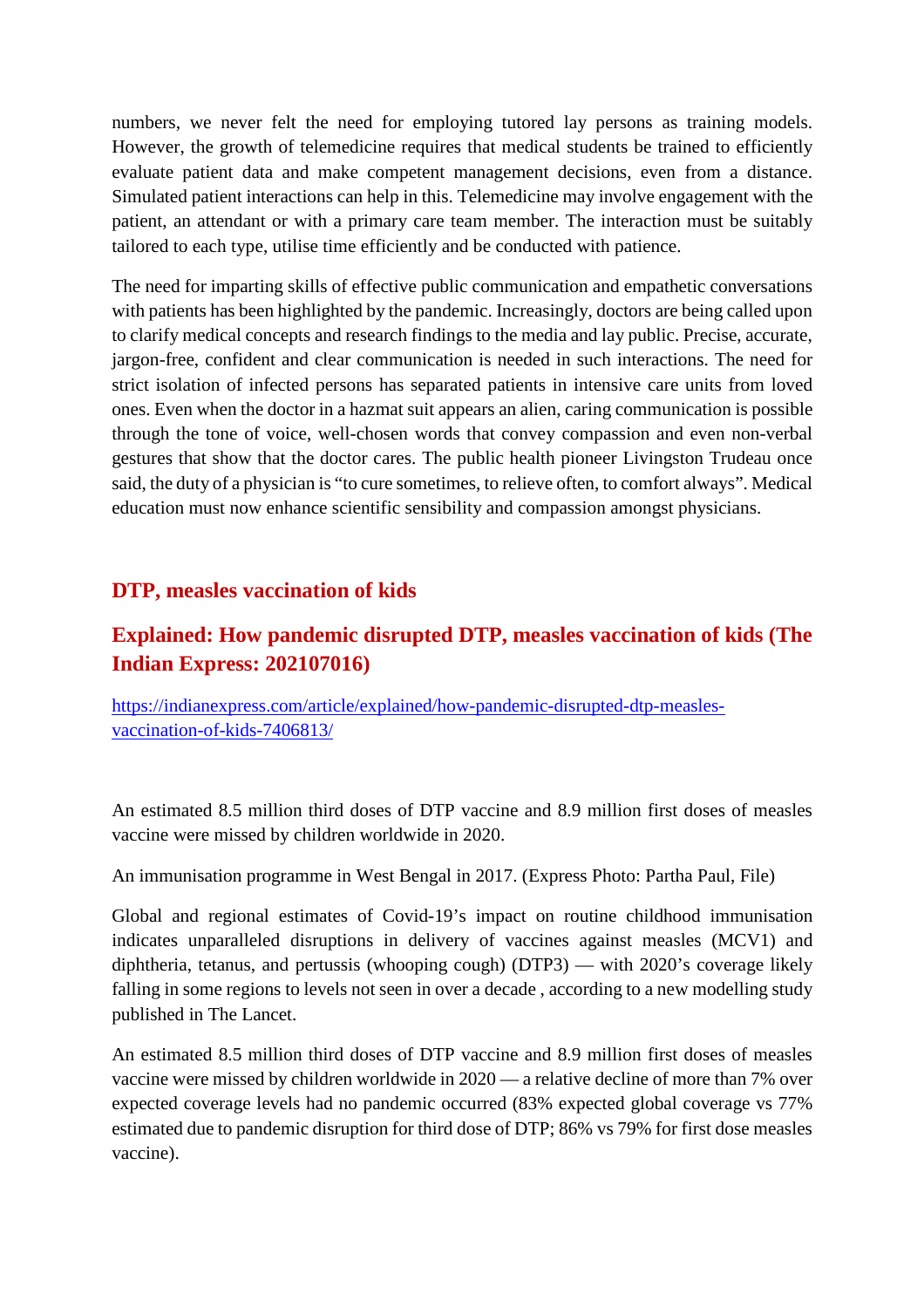numbers, we never felt the need for employing tutored lay persons as training models. However, the growth of telemedicine requires that medical students be trained to efficiently evaluate patient data and make competent management decisions, even from a distance. Simulated patient interactions can help in this. Telemedicine may involve engagement with the patient, an attendant or with a primary care team member. The interaction must be suitably tailored to each type, utilise time efficiently and be conducted with patience.

The need for imparting skills of effective public communication and empathetic conversations with patients has been highlighted by the pandemic. Increasingly, doctors are being called upon to clarify medical concepts and research findings to the media and lay public. Precise, accurate, jargon-free, confident and clear communication is needed in such interactions. The need for strict isolation of infected persons has separated patients in intensive care units from loved ones. Even when the doctor in a hazmat suit appears an alien, caring communication is possible through the tone of voice, well-chosen words that convey compassion and even non-verbal gestures that show that the doctor cares. The public health pioneer Livingston Trudeau once said, the duty of a physician is "to cure sometimes, to relieve often, to comfort always". Medical education must now enhance scientific sensibility and compassion amongst physicians.

#### **DTP, measles vaccination of kids**

#### **Explained: How pandemic disrupted DTP, measles vaccination of kids (The Indian Express: 202107016)**

https://indianexpress.com/article/explained/how-pandemic-disrupted-dtp-measlesvaccination-of-kids-7406813/

An estimated 8.5 million third doses of DTP vaccine and 8.9 million first doses of measles vaccine were missed by children worldwide in 2020.

An immunisation programme in West Bengal in 2017. (Express Photo: Partha Paul, File)

Global and regional estimates of Covid-19's impact on routine childhood immunisation indicates unparalleled disruptions in delivery of vaccines against measles (MCV1) and diphtheria, tetanus, and pertussis (whooping cough) (DTP3) — with 2020's coverage likely falling in some regions to levels not seen in over a decade , according to a new modelling study published in The Lancet.

An estimated 8.5 million third doses of DTP vaccine and 8.9 million first doses of measles vaccine were missed by children worldwide in 2020 — a relative decline of more than 7% over expected coverage levels had no pandemic occurred (83% expected global coverage vs 77% estimated due to pandemic disruption for third dose of DTP; 86% vs 79% for first dose measles vaccine).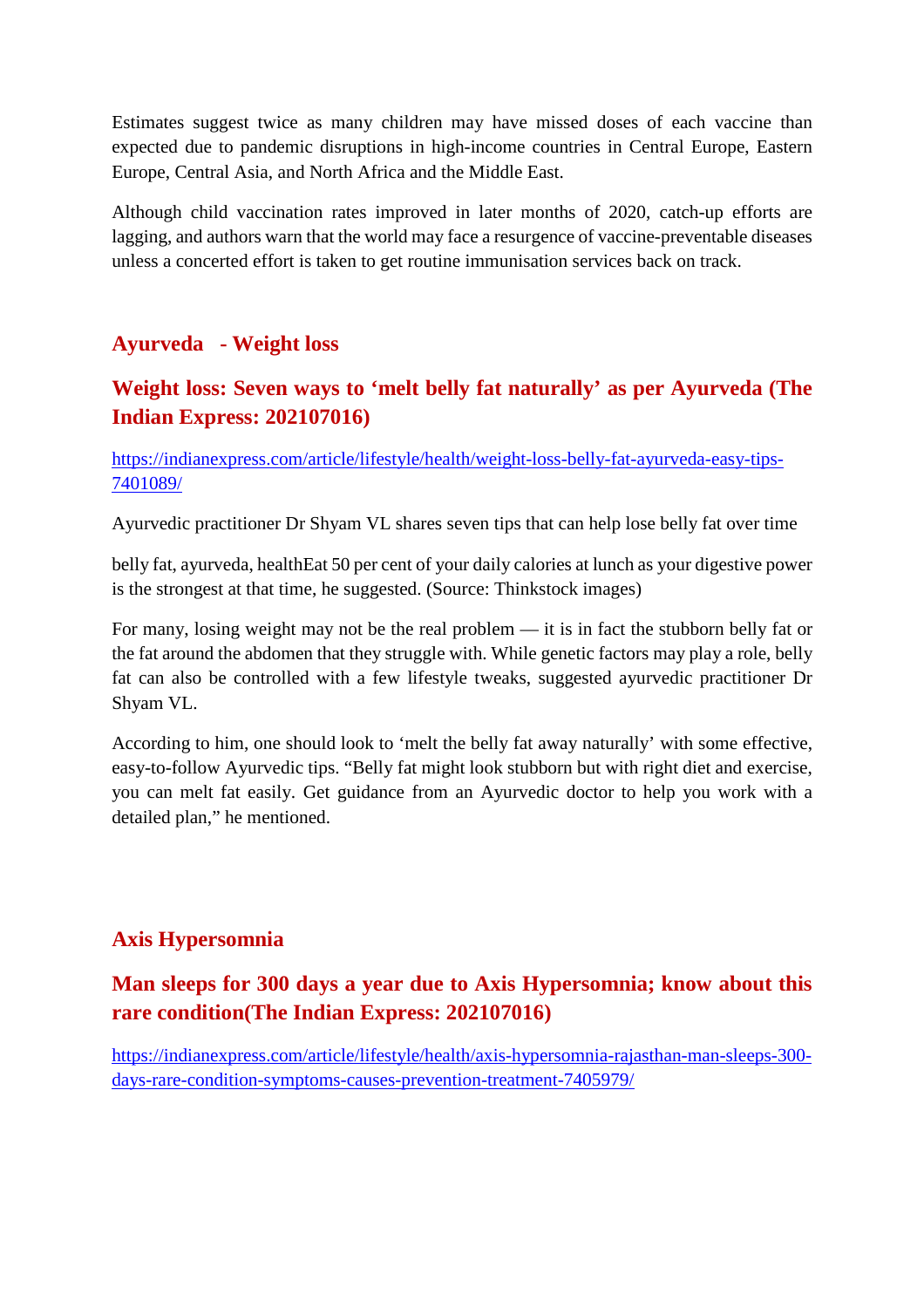Estimates suggest twice as many children may have missed doses of each vaccine than expected due to pandemic disruptions in high-income countries in Central Europe, Eastern Europe, Central Asia, and North Africa and the Middle East.

Although child vaccination rates improved in later months of 2020, catch-up efforts are lagging, and authors warn that the world may face a resurgence of vaccine-preventable diseases unless a concerted effort is taken to get routine immunisation services back on track.

# **Ayurveda - Weight loss**

# **Weight loss: Seven ways to 'melt belly fat naturally' as per Ayurveda (The Indian Express: 202107016)**

https://indianexpress.com/article/lifestyle/health/weight-loss-belly-fat-ayurveda-easy-tips-7401089/

Ayurvedic practitioner Dr Shyam VL shares seven tips that can help lose belly fat over time

belly fat, ayurveda, healthEat 50 per cent of your daily calories at lunch as your digestive power is the strongest at that time, he suggested. (Source: Thinkstock images)

For many, losing weight may not be the real problem — it is in fact the stubborn belly fat or the fat around the abdomen that they struggle with. While genetic factors may play a role, belly fat can also be controlled with a few lifestyle tweaks, suggested ayurvedic practitioner Dr Shyam VL.

According to him, one should look to 'melt the belly fat away naturally' with some effective, easy-to-follow Ayurvedic tips. "Belly fat might look stubborn but with right diet and exercise, you can melt fat easily. Get guidance from an Ayurvedic doctor to help you work with a detailed plan," he mentioned.

#### **Axis Hypersomnia**

# **Man sleeps for 300 days a year due to Axis Hypersomnia; know about this rare condition(The Indian Express: 202107016)**

https://indianexpress.com/article/lifestyle/health/axis-hypersomnia-rajasthan-man-sleeps-300 days-rare-condition-symptoms-causes-prevention-treatment-7405979/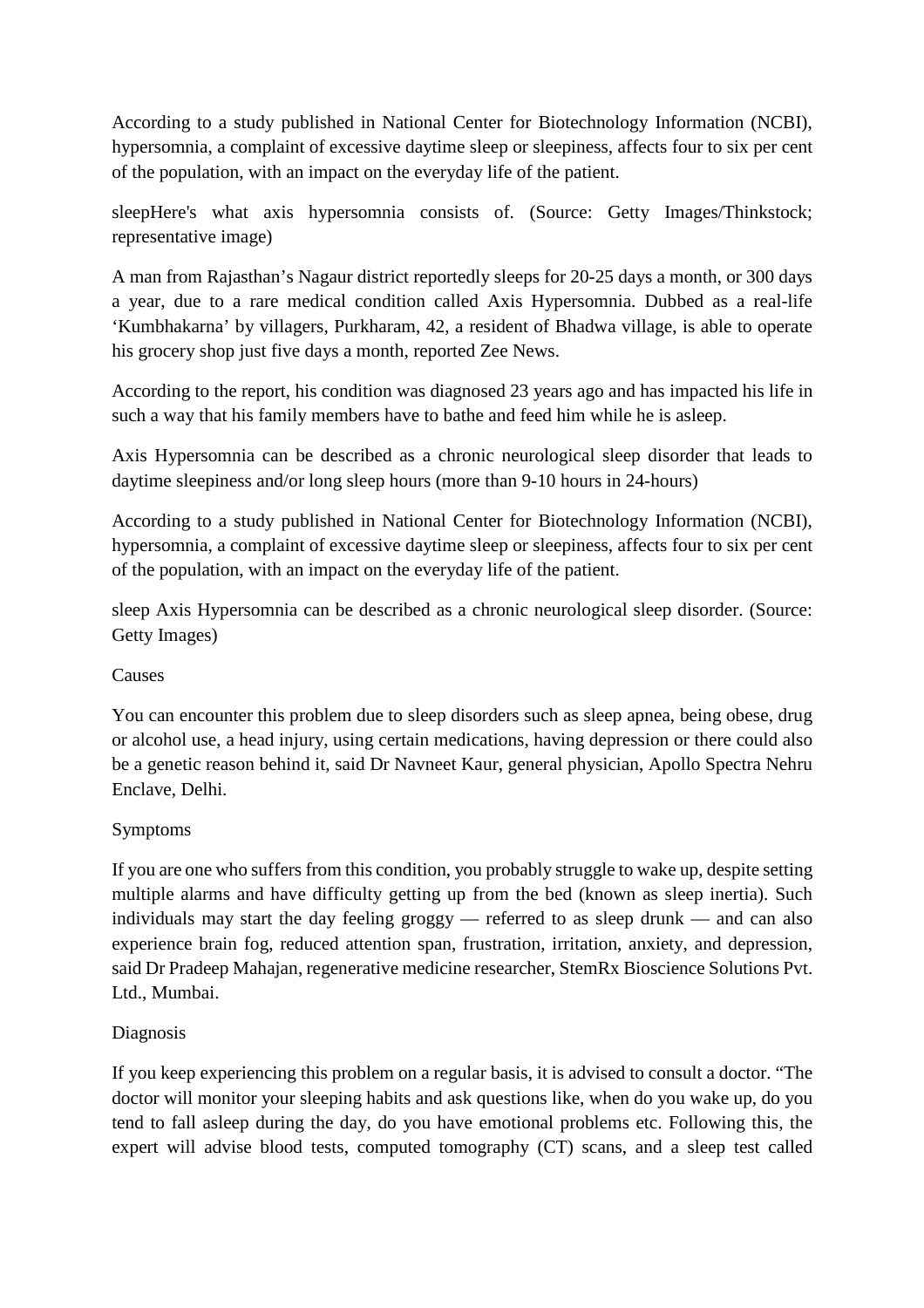According to a study published in National Center for Biotechnology Information (NCBI), hypersomnia, a complaint of excessive daytime sleep or sleepiness, affects four to six per cent of the population, with an impact on the everyday life of the patient.

sleepHere's what axis hypersomnia consists of. (Source: Getty Images/Thinkstock; representative image)

A man from Rajasthan's Nagaur district reportedly sleeps for 20-25 days a month, or 300 days a year, due to a rare medical condition called Axis Hypersomnia. Dubbed as a real-life 'Kumbhakarna' by villagers, Purkharam, 42, a resident of Bhadwa village, is able to operate his grocery shop just five days a month, reported Zee News.

According to the report, his condition was diagnosed 23 years ago and has impacted his life in such a way that his family members have to bathe and feed him while he is asleep.

Axis Hypersomnia can be described as a chronic neurological sleep disorder that leads to daytime sleepiness and/or long sleep hours (more than 9-10 hours in 24-hours)

According to a study published in National Center for Biotechnology Information (NCBI), hypersomnia, a complaint of excessive daytime sleep or sleepiness, affects four to six per cent of the population, with an impact on the everyday life of the patient.

sleep Axis Hypersomnia can be described as a chronic neurological sleep disorder. (Source: Getty Images)

#### Causes

You can encounter this problem due to sleep disorders such as sleep apnea, being obese, drug or alcohol use, a head injury, using certain medications, having depression or there could also be a genetic reason behind it, said Dr Navneet Kaur, general physician, Apollo Spectra Nehru Enclave, Delhi.

#### Symptoms

If you are one who suffers from this condition, you probably struggle to wake up, despite setting multiple alarms and have difficulty getting up from the bed (known as sleep inertia). Such individuals may start the day feeling groggy — referred to as sleep drunk — and can also experience brain fog, reduced attention span, frustration, irritation, anxiety, and depression, said Dr Pradeep Mahajan, regenerative medicine researcher, StemRx Bioscience Solutions Pvt. Ltd., Mumbai.

#### Diagnosis

If you keep experiencing this problem on a regular basis, it is advised to consult a doctor. "The doctor will monitor your sleeping habits and ask questions like, when do you wake up, do you tend to fall asleep during the day, do you have emotional problems etc. Following this, the expert will advise blood tests, computed tomography (CT) scans, and a sleep test called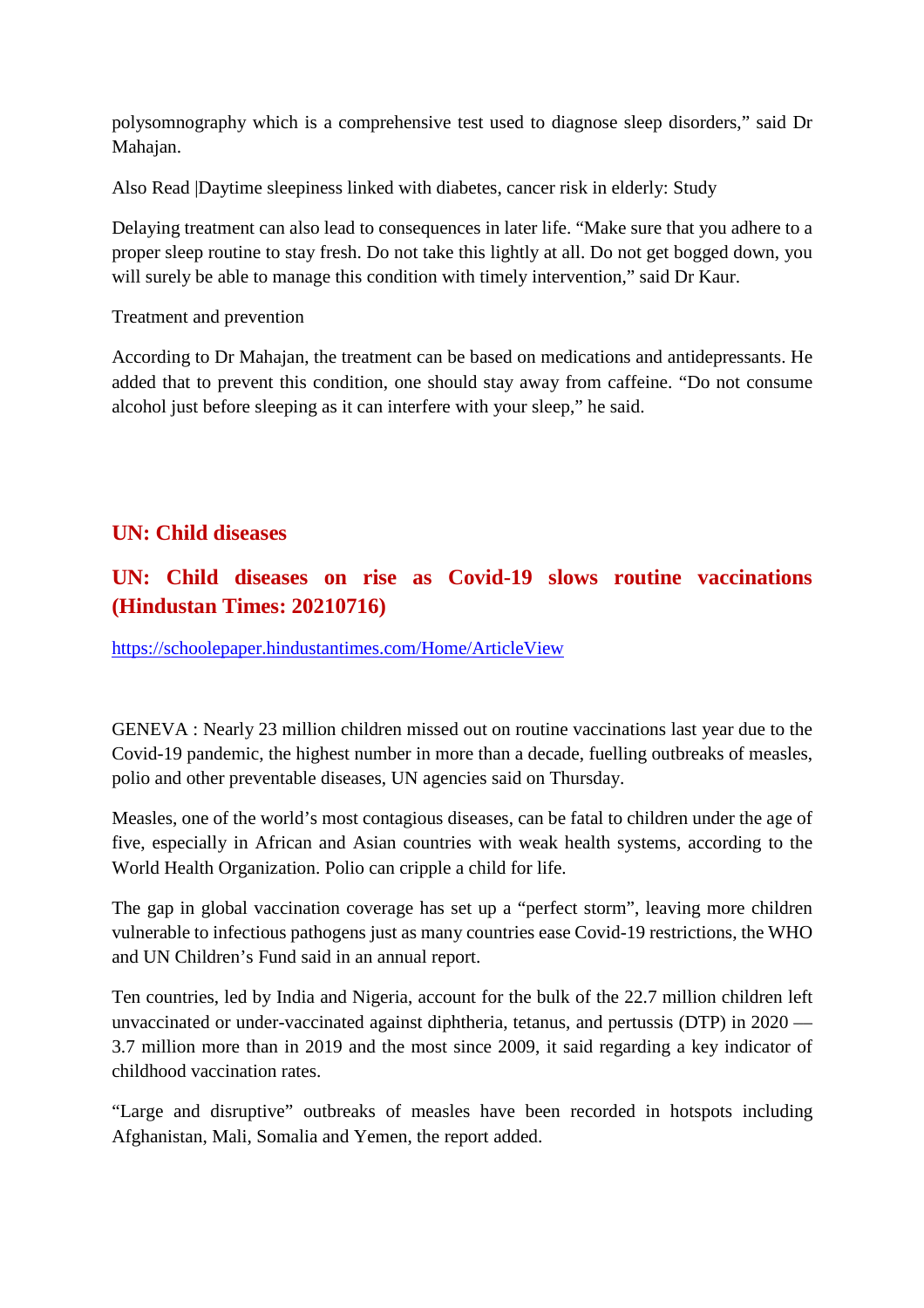polysomnography which is a comprehensive test used to diagnose sleep disorders," said Dr Mahajan.

Also Read |Daytime sleepiness linked with diabetes, cancer risk in elderly: Study

Delaying treatment can also lead to consequences in later life. "Make sure that you adhere to a proper sleep routine to stay fresh. Do not take this lightly at all. Do not get bogged down, you will surely be able to manage this condition with timely intervention," said Dr Kaur.

Treatment and prevention

According to Dr Mahajan, the treatment can be based on medications and antidepressants. He added that to prevent this condition, one should stay away from caffeine. "Do not consume alcohol just before sleeping as it can interfere with your sleep," he said.

#### **UN: Child diseases**

# **UN: Child diseases on rise as Covid-19 slows routine vaccinations (Hindustan Times: 20210716)**

https://schoolepaper.hindustantimes.com/Home/ArticleView

GENEVA : Nearly 23 million children missed out on routine vaccinations last year due to the Covid-19 pandemic, the highest number in more than a decade, fuelling outbreaks of measles, polio and other preventable diseases, UN agencies said on Thursday.

Measles, one of the world's most contagious diseases, can be fatal to children under the age of five, especially in African and Asian countries with weak health systems, according to the World Health Organization. Polio can cripple a child for life.

The gap in global vaccination coverage has set up a "perfect storm", leaving more children vulnerable to infectious pathogens just as many countries ease Covid-19 restrictions, the WHO and UN Children's Fund said in an annual report.

Ten countries, led by India and Nigeria, account for the bulk of the 22.7 million children left unvaccinated or under-vaccinated against diphtheria, tetanus, and pertussis (DTP) in 2020 –– 3.7 million more than in 2019 and the most since 2009, it said regarding a key indicator of childhood vaccination rates.

"Large and disruptive" outbreaks of measles have been recorded in hotspots including Afghanistan, Mali, Somalia and Yemen, the report added.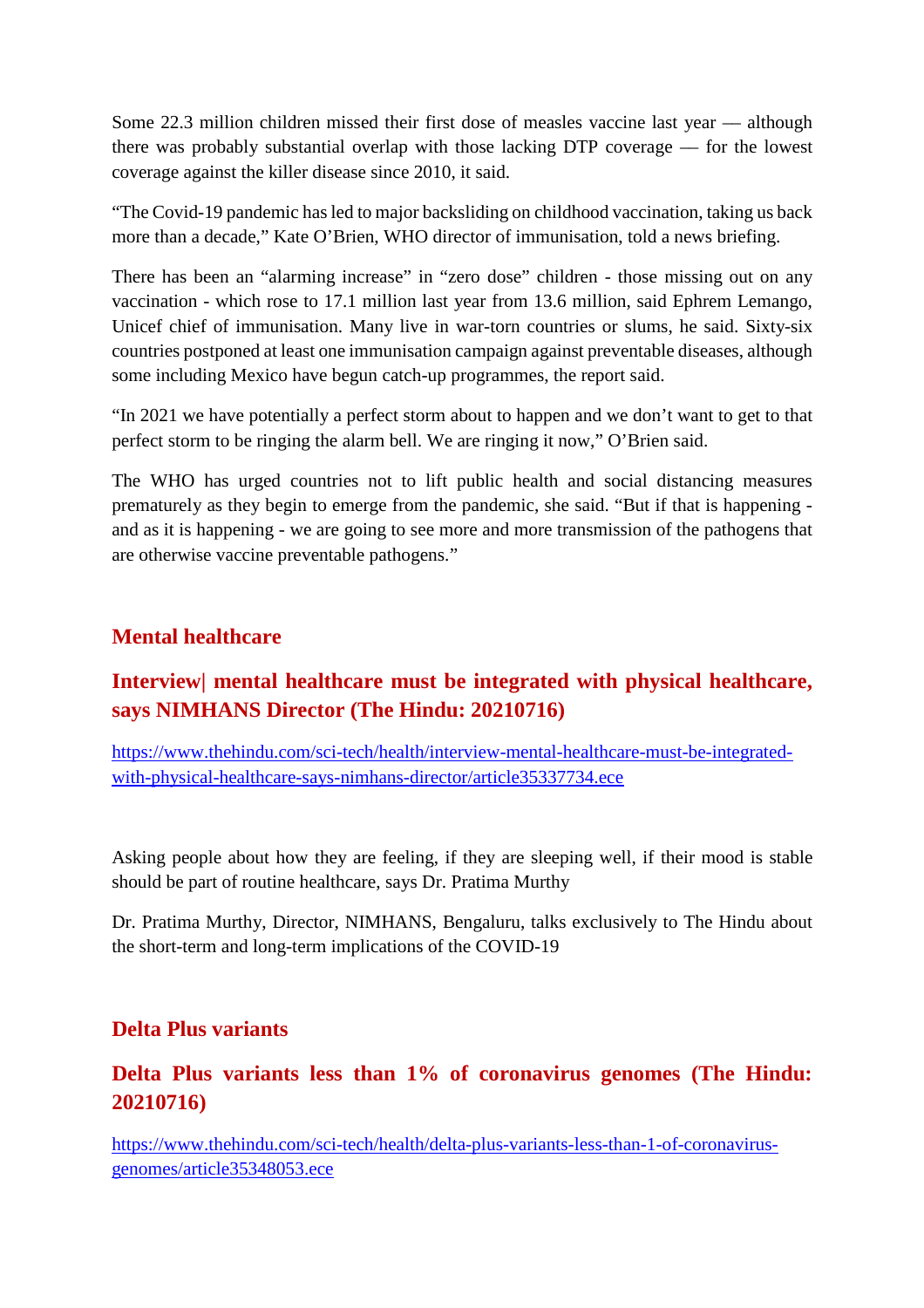Some 22.3 million children missed their first dose of measles vaccine last year –– although there was probably substantial overlap with those lacking DTP coverage –– for the lowest coverage against the killer disease since 2010, it said.

"The Covid-19 pandemic has led to major backsliding on childhood vaccination, taking us back more than a decade," Kate O'Brien, WHO director of immunisation, told a news briefing.

There has been an "alarming increase" in "zero dose" children - those missing out on any vaccination - which rose to 17.1 million last year from 13.6 million, said Ephrem Lemango, Unicef chief of immunisation. Many live in war-torn countries or slums, he said. Sixty-six countries postponed at least one immunisation campaign against preventable diseases, although some including Mexico have begun catch-up programmes, the report said.

"In 2021 we have potentially a perfect storm about to happen and we don't want to get to that perfect storm to be ringing the alarm bell. We are ringing it now," O'Brien said.

The WHO has urged countries not to lift public health and social distancing measures prematurely as they begin to emerge from the pandemic, she said. "But if that is happening and as it is happening - we are going to see more and more transmission of the pathogens that are otherwise vaccine preventable pathogens."

#### **Mental healthcare**

# **Interview| mental healthcare must be integrated with physical healthcare, says NIMHANS Director (The Hindu: 20210716)**

https://www.thehindu.com/sci-tech/health/interview-mental-healthcare-must-be-integratedwith-physical-healthcare-says-nimhans-director/article35337734.ece

Asking people about how they are feeling, if they are sleeping well, if their mood is stable should be part of routine healthcare, says Dr. Pratima Murthy

Dr. Pratima Murthy, Director, NIMHANS, Bengaluru, talks exclusively to The Hindu about the short-term and long-term implications of the COVID-19

#### **Delta Plus variants**

#### **Delta Plus variants less than 1% of coronavirus genomes (The Hindu: 20210716)**

https://www.thehindu.com/sci-tech/health/delta-plus-variants-less-than-1-of-coronavirusgenomes/article35348053.ece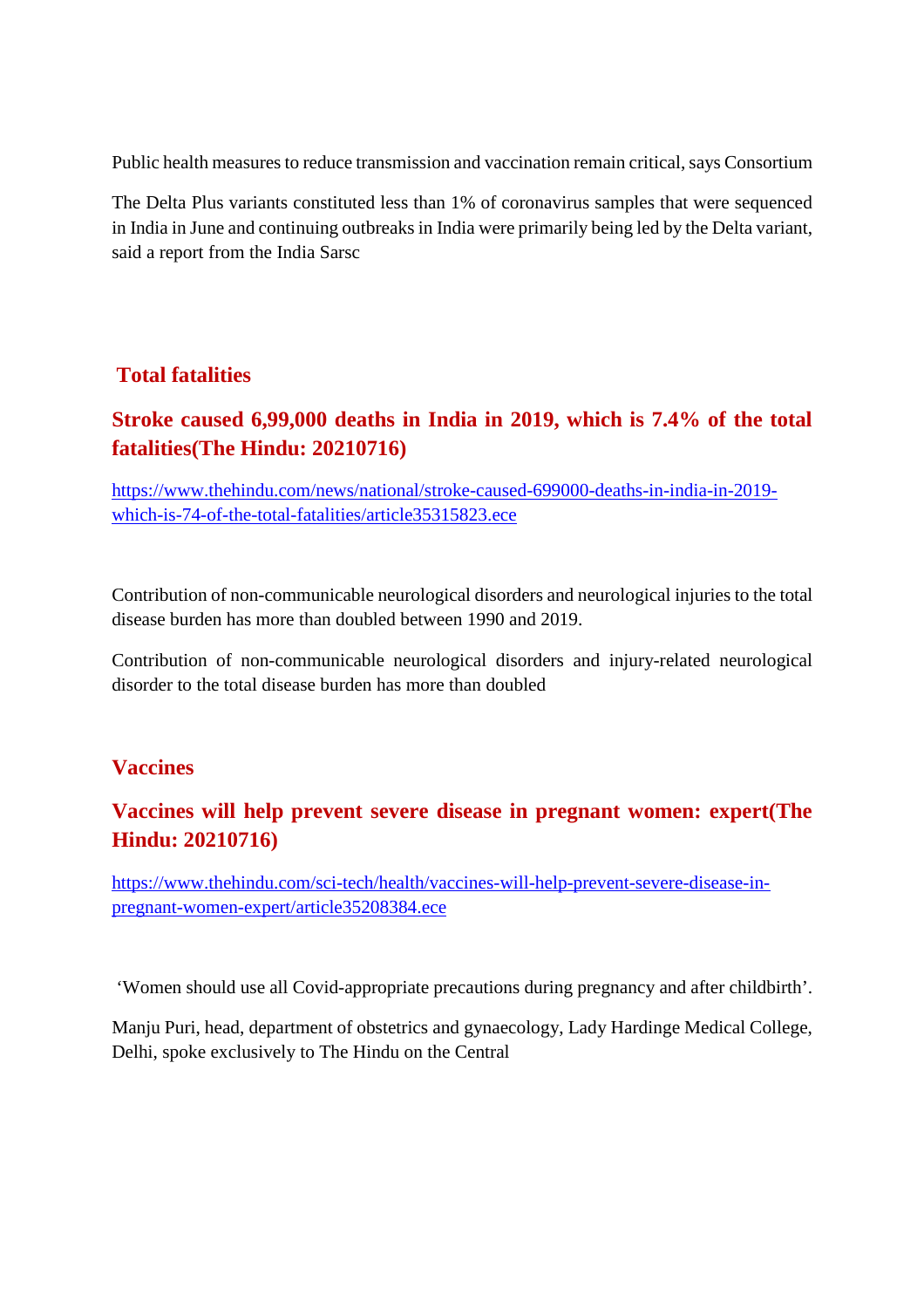Public health measures to reduce transmission and vaccination remain critical, says Consortium

The Delta Plus variants constituted less than 1% of coronavirus samples that were sequenced in India in June and continuing outbreaks in India were primarily being led by the Delta variant, said a report from the India Sarsc

#### **Total fatalities**

# **Stroke caused 6,99,000 deaths in India in 2019, which is 7.4% of the total fatalities(The Hindu: 20210716)**

https://www.thehindu.com/news/national/stroke-caused-699000-deaths-in-india-in-2019 which-is-74-of-the-total-fatalities/article35315823.ece

Contribution of non-communicable neurological disorders and neurological injuries to the total disease burden has more than doubled between 1990 and 2019.

Contribution of non-communicable neurological disorders and injury-related neurological disorder to the total disease burden has more than doubled

#### **Vaccines**

## **Vaccines will help prevent severe disease in pregnant women: expert(The Hindu: 20210716)**

https://www.thehindu.com/sci-tech/health/vaccines-will-help-prevent-severe-disease-inpregnant-women-expert/article35208384.ece

'Women should use all Covid-appropriate precautions during pregnancy and after childbirth'.

Manju Puri, head, department of obstetrics and gynaecology, Lady Hardinge Medical College, Delhi, spoke exclusively to The Hindu on the Central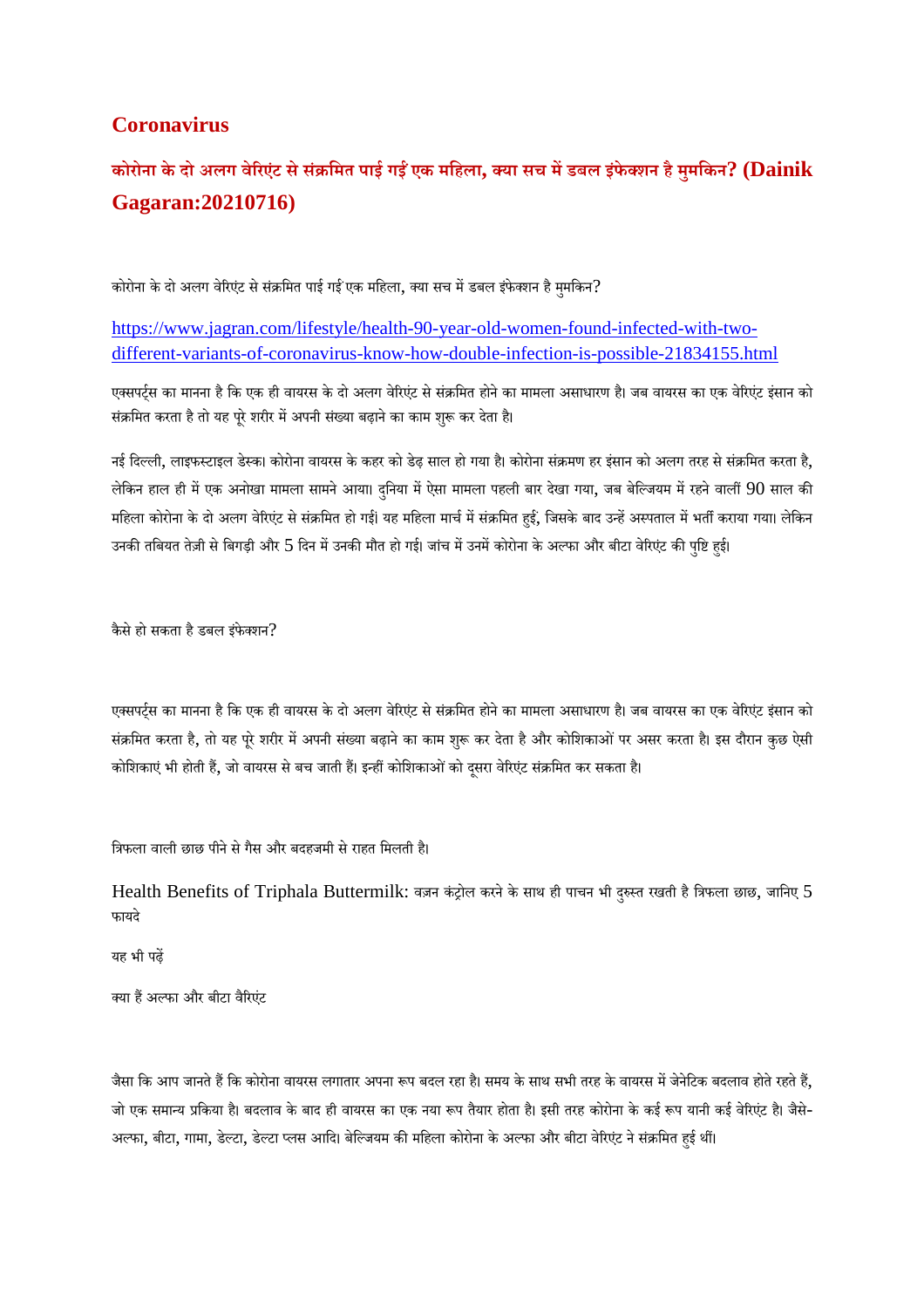#### **Coronavirus**

# कोरोना के दो अलग वेरिएंट से संक्रमित पाई गईं एक महिला, क्या सच में डबल इंफेक्शन है मुमकिन? (Dainik **Gagaran:20210716)**

कोरोना के दो अलग वेरिएंट से संक्रमित पाई गई एक महिला, क्या सच में डबल इंफेक्शन है मुमकिन?

https://www.jagran.com/lifestyle/health-90-year-old-women-found-infected-with-twodifferent-variants-of-coronavirus-know-how-double-infection-is-possible-21834155.html

एक्सपर्टस का मानना है कि एक ही वायरस के दो अलग वेरिएंट से संक्रमित होने का मामला असाधारण है। जब वायरस का एक वेरिएंट इंसान को संक्रमित करता है तो यह पूरे शरीर में अपनी संख्या बढ़ाने का काम शुरू कर देता है।

नई दिल्ली, लाइफस्टाइल डेस्क। कोरोना वायरस के कहर को डेढ़ साल हो गया है। कोरोना संक्रमण हर इंसान को अलग तरह से संक्रमित करता है, लेकिन हाल ही में एक अनोखा मामला सामने आया। दुनिया में ऐसा मामला पहली बार देखा गया, जब बेल्जियम में रहने वालीं 90 साल की महिला कोरोना के दो अलग वेरिएंट से संक्रमित हो गई। यह महिला मार्च में संक्रमित हुईं, जिसके बाद उन्हें अस्पताल में भर्ती कराया गया। लेकिन<br>' उनकी तबियत तेज़ी से बिगड़ी और 5 दिन में उनकी मौत हो गई। जांच में उनमें कोरोना के अल्फा और बीटा वेरिएंट की पुष्टि हुई।

कैसे हो सकता है डबल इंफेक्शन?

एक्सपर्ट्स का मानना है कि एक ही वायरस के दो अलग वेरिएंट से संक्रमित होने का मामला असाधारण है। जब वायरस का एक वेरिएंट इंसान को संक्रमित करता है, तो यह पूरे शरीर में अपनी संख्या बढ़ाने का काम शुरू कर देता है और कोशिकाओं पर असर करता है। इस दौरान कुछ ऐसी कोशिकाएं भी होती हैं, जो वायरस से बच जाती हैं। इन्हीं कोशिकाओं को दूसरा वेरिएंट संक्रमित कर सकता है।

त्रिफला वाली छाछ पीने से गैस और बदहजमी से राहत मिलती है।

Health Benefits of Triphala Buttermilk: वज़न कंट्रोल करने के साथ ही पाचन भी दुरुस्त रखती है त्रिफला छाछ, जानिए 5 फायदे

यह भी पढ़

क्या हैं अल्फा और बीटा वैरिएंट

जैसा कि आप जानते हैं कि कोरोना वायरस लगातार अपना रूप बदल रहा है। समय के साथ सभी तरह के वायरस में जेनेटिक बदलाव होते रहते हैं, जो एक समान्य प्रकिया है। बदलाव के बाद ही वायरस का एक नया रूप तैयार होता है। इसी तरह कोरोना के कई रूप यानी कई वेरिएंट है। जैसे-अल्फा, बीटा, गामा, डेल्टा, डेल्टा प्लस आदि। बेल्जियम की महिला कोरोना के अल्फा और बीटा वेरिएंट ने संक्रमित हई थीं।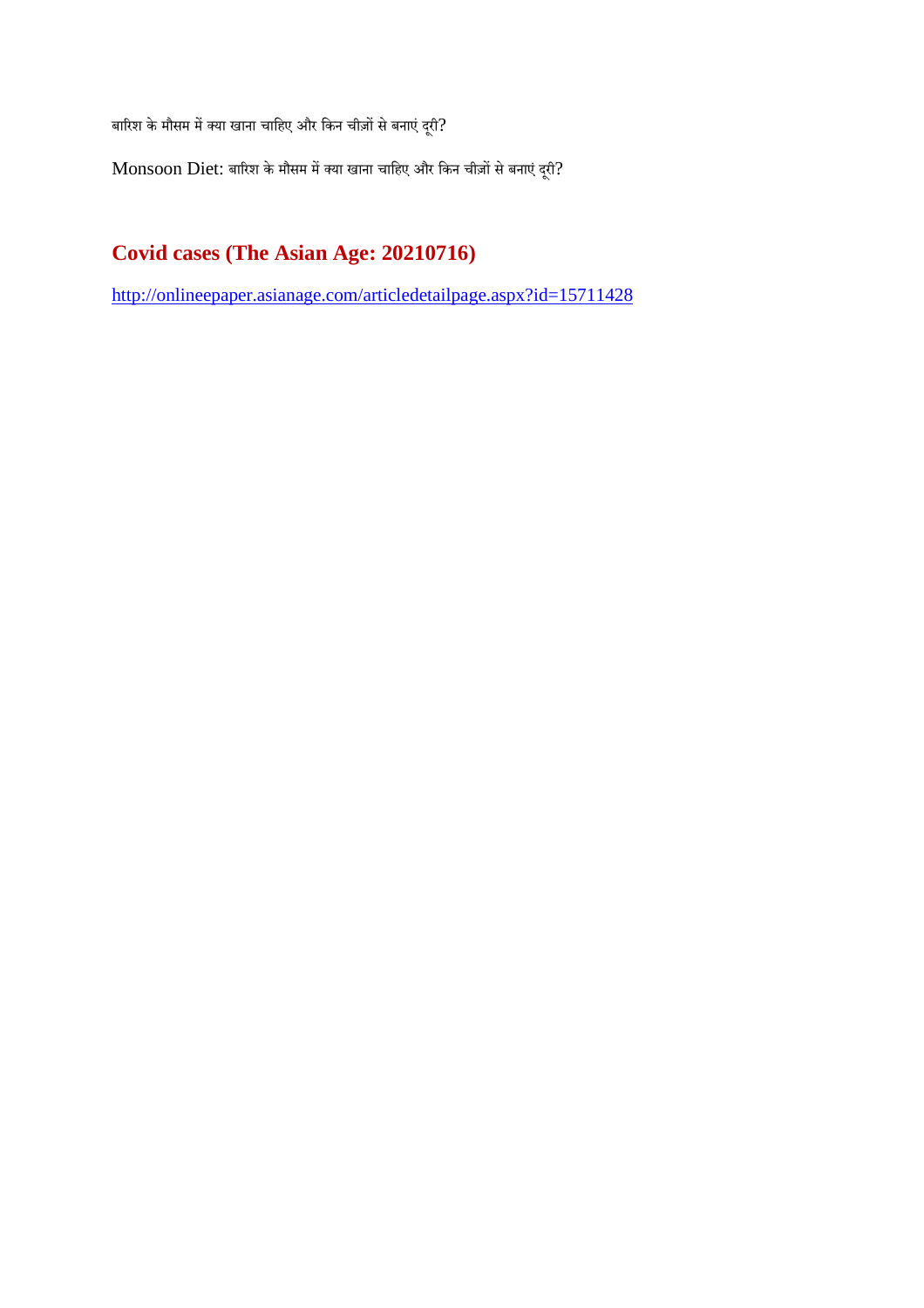बारिश के मौसम में क्या खाना चाहिए और किन चीज़ों से बनाएं दूरी?

 $M$ onsoon  $D$ iet: बारिश के मौसम में क्या खाना चाहिए और किन चीज़ों से बनाएं दूरी?

# **Covid cases (The Asian Age: 20210716)**

http://onlineepaper.asianage.com/articledetailpage.aspx?id=15711428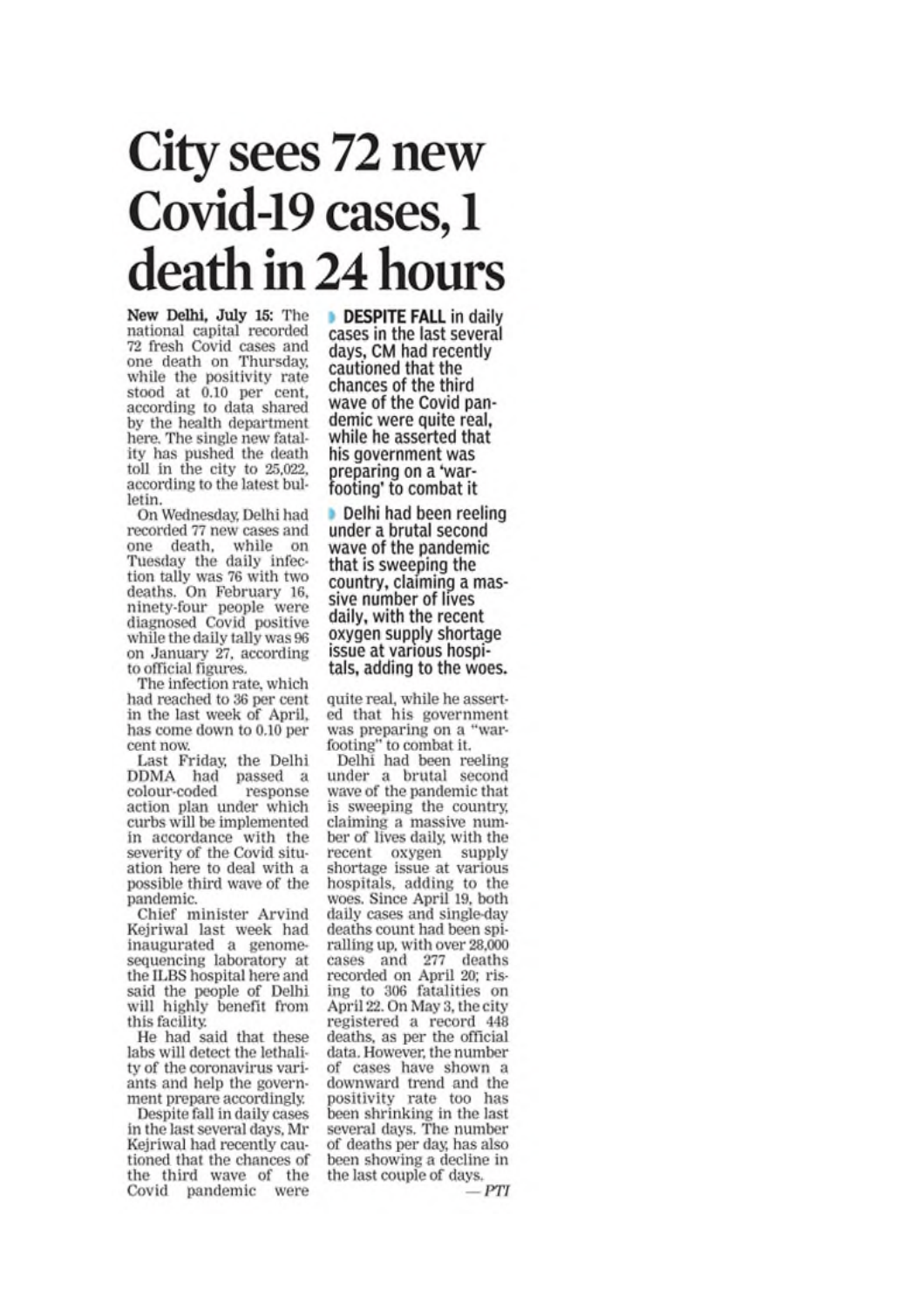# City sees 72 new Covid-19 cases, 1 death in 24 hours

New Delhi, July 15: The national capital recorded 72 fresh Covid cases and one death on Thursday, while the positivity rate stood at 0.10 per cent,<br>according to data shared by the health department here. The single new fatality has pushed the death toll in the city to 25,022. according to the latest bulletin.

On Wednesday, Delhi had recorded 77 new cases and one death, while on Tuesday the daily infection tally was 76 with two deaths. On February 16, ninety-four people were diagnosed Covid positive while the daily tally was 96 on January 27, according to official figures.

The infection rate, which had reached to 36 per cent in the last week of April, has come down to 0.10 per cent now.

Last Friday, the Delhi DDMA had passed a colour-coded response action plan under which curbs will be implemented in accordance with the<br>severity of the Covid situation here to deal with a possible third wave of the pandemic.

Chief minister Arvind Keiriwal last week had inaugurated a genomesequencing laboratory at the ILBS hospital here and said the people of Delhi will highly benefit from this facility.

He had said that these labs will detect the lethality of the coronavirus variants and help the government prepare accordingly.

Despite fall in daily cases in the last several days, Mr Kejriwal had recently cautioned that the chances of the third wave of the Covid pandemic were DESPITE FALL in daily cases in the last several days, CM had recently cautioned that the chances of the third wave of the Covid pandemic were quite real. while he asserted that his government was preparing on a 'warfooting' to combat it

Delhi had been reeling under a brutal second wave of the pandemic that is sweeping the country, claiming a massive number of lives daily, with the recent oxygen supply shortage issue at various hospitals, adding to the woes.

quite real, while he asserted that his government was preparing on a "warfooting" to combat it.

Delhi had been reeling under a brutal second<br>wave of the pandemic that is sweeping the country. claiming a massive number of lives daily, with the recent oxygen supply shortage issue at various hospitals, adding to the woes. Since April 19, both daily cases and single-day deaths count had been spiralling up, with over 28,000 cases and 277 deaths recorded on April 20; rising to 306 fatalities on April 22. On May 3, the city registered a record 448 deaths, as per the official data. However, the number of cases have shown a downward trend and the positivity rate too has been shrinking in the last several days. The number of deaths per day, has also been showing a decline in the last couple of days.